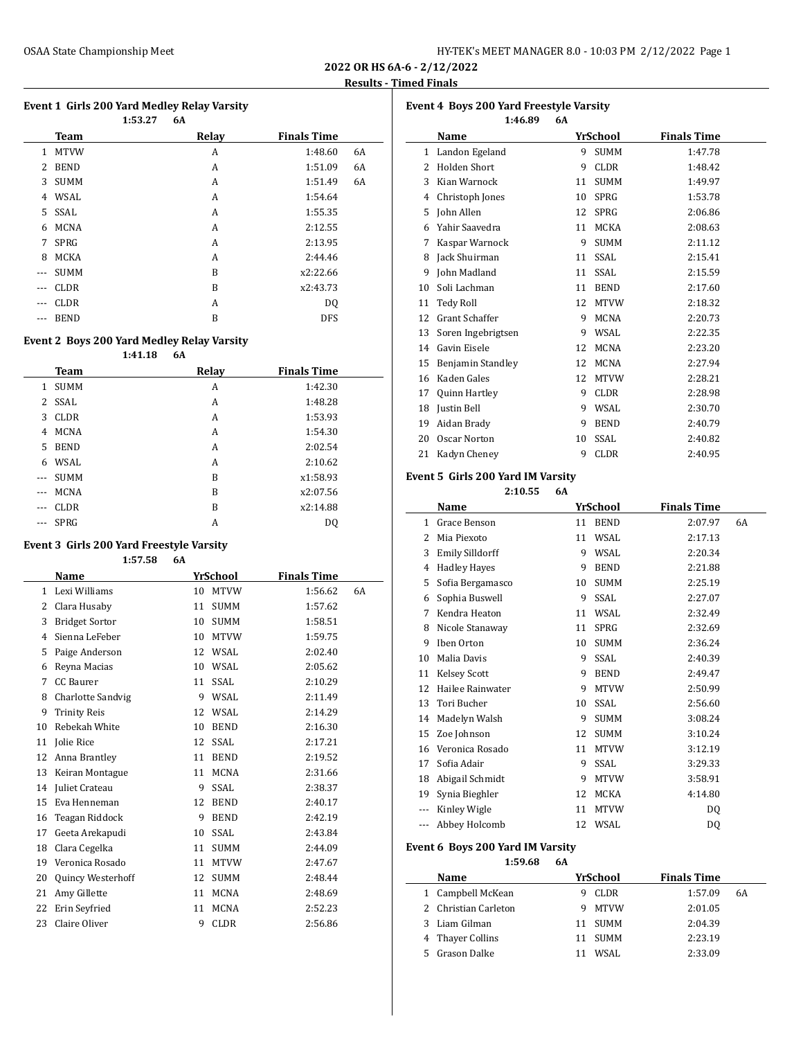| HY-TEK's MEET MANAGER 8.0 - 10:03 PM 2/12/2022 Page 1 |  |  |  |
|-------------------------------------------------------|--|--|--|
|-------------------------------------------------------|--|--|--|

 $\overline{a}$ 

#### **Event 1 Girls 200 Yard Medley Relay Varsity**

|       |             | 1:53.27 | 6A    |                    |    |
|-------|-------------|---------|-------|--------------------|----|
|       | <b>Team</b> |         | Relay | <b>Finals Time</b> |    |
| 1     | <b>MTVW</b> |         | A     | 1:48.60            | 6A |
| 2     | <b>BEND</b> |         | А     | 1:51.09            | 6A |
| 3     | <b>SUMM</b> |         | A     | 1:51.49            | 6A |
| 4     | WSAL        |         | A     | 1:54.64            |    |
| 5     | SSAL        |         | A     | 1:55.35            |    |
| 6     | <b>MCNA</b> |         | A     | 2:12.55            |    |
| 7     | <b>SPRG</b> |         | A     | 2:13.95            |    |
| 8     | <b>MCKA</b> |         | A     | 2:44.46            |    |
| $---$ | <b>SUMM</b> |         | B     | x2:22.66           |    |
| ---   | <b>CLDR</b> |         | B     | x2:43.73           |    |
| --    | <b>CLDR</b> |         | A     | DQ                 |    |
| ---   | <b>BEND</b> |         | B     | <b>DFS</b>         |    |

### **Event 2 Boys 200 Yard Medley Relay Varsity**

**1:41.18 6A**

|              | Team        | Relay | <b>Finals Time</b> |
|--------------|-------------|-------|--------------------|
| 1            | <b>SUMM</b> | A     | 1:42.30            |
| $\mathbf{2}$ | SSAL        | A     | 1:48.28            |
| 3            | <b>CLDR</b> | A     | 1:53.93            |
| 4            | <b>MCNA</b> | A     | 1:54.30            |
| 5            | <b>BEND</b> | A     | 2:02.54            |
| 6            | WSAL        | A     | 2:10.62            |
| $---$        | <b>SUMM</b> | B     | x1:58.93           |
| $---$        | <b>MCNA</b> | B     | x2:07.56           |
|              | <b>CLDR</b> | B     | x2:14.88           |
|              | <b>SPRG</b> | А     | D <sub>0</sub>     |

#### **Event 3 Girls 200 Yard Freestyle Varsity**

**1:57.58 6A Name** *YrSchool* **Finals Time**  Lexi Williams 10 MTVW 1:56.62 6A Clara Husaby 11 SUMM 1:57.62 3 Bridget Sortor 10 SUMM 1:58.51 Sienna LeFeber 10 MTVW 1:59.75 Paige Anderson 12 WSAL 2:02.40 Reyna Macias 10 WSAL 2:05.62 CC Baurer 11 SSAL 2:10.29 8 Charlotte Sandvig 9 WSAL 2:11.49 Trinity Reis 12 WSAL 2:14.29 Rebekah White 10 BEND 2:16.30 Jolie Rice 12 SSAL 2:17.21 Anna Brantley 11 BEND 2:19.52 Keiran Montague 11 MCNA 2:31.66 Juliet Crateau 9 SSAL 2:38.37 Eva Henneman 12 BEND 2:40.17 Teagan Riddock 9 BEND 2:42.19 Geeta Arekapudi 10 SSAL 2:43.84 Clara Cegelka 11 SUMM 2:44.09 Veronica Rosado 11 MTVW 2:47.67 Quincy Westerhoff 12 SUMM 2:48.44 Amy Gillette 11 MCNA 2:48.69 Erin Seyfried 11 MCNA 2:52.23 23 Claire Oliver 9 CLDR 2:56.86

| Event 4 Boys 200 Yard Freestyle Varsity |                     |    |             |                    |  |  |  |  |  |
|-----------------------------------------|---------------------|----|-------------|--------------------|--|--|--|--|--|
|                                         | 1:46.89             | 6A |             |                    |  |  |  |  |  |
|                                         | Name                |    | YrSchool    | <b>Finals Time</b> |  |  |  |  |  |
| 1                                       | Landon Egeland      | 9  | <b>SUMM</b> | 1:47.78            |  |  |  |  |  |
| 2                                       | <b>Holden Short</b> | 9  | <b>CLDR</b> | 1:48.42            |  |  |  |  |  |
| 3                                       | Kian Warnock        | 11 | <b>SUMM</b> | 1:49.97            |  |  |  |  |  |
| 4                                       | Christoph Jones     | 10 | <b>SPRG</b> | 1:53.78            |  |  |  |  |  |
| 5                                       | John Allen          | 12 | SPRG        | 2:06.86            |  |  |  |  |  |
| 6                                       | Yahir Saavedra      | 11 | MCKA        | 2:08.63            |  |  |  |  |  |
| 7                                       | Kaspar Warnock      | 9  | <b>SUMM</b> | 2:11.12            |  |  |  |  |  |
| 8                                       | Jack Shuirman       | 11 | <b>SSAL</b> | 2:15.41            |  |  |  |  |  |
| 9                                       | John Madland        | 11 | SSAL        | 2:15.59            |  |  |  |  |  |
| 10                                      | Soli Lachman        | 11 | <b>BEND</b> | 2:17.60            |  |  |  |  |  |
| 11                                      | Tedy Roll           | 12 | <b>MTVW</b> | 2:18.32            |  |  |  |  |  |
| 12                                      | Grant Schaffer      | 9  | <b>MCNA</b> | 2:20.73            |  |  |  |  |  |
| 13                                      | Soren Ingebrigtsen  | 9  | WSAL        | 2:22.35            |  |  |  |  |  |
| 14                                      | Gavin Eisele        | 12 | <b>MCNA</b> | 2:23.20            |  |  |  |  |  |
| 15                                      | Benjamin Standley   | 12 | <b>MCNA</b> | 2:27.94            |  |  |  |  |  |
| 16                                      | Kaden Gales         | 12 | <b>MTVW</b> | 2:28.21            |  |  |  |  |  |
| 17                                      | Quinn Hartley       | 9  | <b>CLDR</b> | 2:28.98            |  |  |  |  |  |
| 18                                      | Justin Bell         | 9  | WSAL        | 2:30.70            |  |  |  |  |  |
| 19                                      | Aidan Brady         | 9  | <b>BEND</b> | 2:40.79            |  |  |  |  |  |
| 20                                      | <b>Oscar Norton</b> | 10 | <b>SSAL</b> | 2:40.82            |  |  |  |  |  |
| 21                                      | Kadyn Cheney        | 9  | <b>CLDR</b> | 2:40.95            |  |  |  |  |  |

# **Event 5 Girls 200 Yard IM Varsity**

**2:10.55 6A**

|              | Name                   |    | YrSchool    | <b>Finals Time</b> |    |
|--------------|------------------------|----|-------------|--------------------|----|
| $\mathbf{1}$ | Grace Benson           | 11 | <b>BEND</b> | 2:07.97            | 6A |
| 2            | Mia Piexoto            | 11 | WSAL        | 2:17.13            |    |
| 3            | <b>Emily Silldorff</b> | 9  | WSAL        | 2:20.34            |    |
| 4            | <b>Hadley Hayes</b>    | 9  | <b>BEND</b> | 2:21.88            |    |
| 5            | Sofia Bergamasco       | 10 | <b>SUMM</b> | 2:25.19            |    |
| 6            | Sophia Buswell         | 9  | SSAL        | 2:27.07            |    |
| 7            | Kendra Heaton          | 11 | WSAL        | 2:32.49            |    |
| 8            | Nicole Stanaway        | 11 | <b>SPRG</b> | 2:32.69            |    |
| 9            | Iben Orton             | 10 | <b>SUMM</b> | 2:36.24            |    |
| 10           | Malia Davis            | 9  | SSAL        | 2:40.39            |    |
| 11           | Kelsey Scott           | 9  | <b>BEND</b> | 2:49.47            |    |
| 12           | Hailee Rainwater       | 9  | <b>MTVW</b> | 2:50.99            |    |
| 13           | Tori Bucher            | 10 | SSAL        | 2:56.60            |    |
| 14           | Madelyn Walsh          | 9  | SUMM        | 3:08.24            |    |
| 15           | Zoe Johnson            | 12 | <b>SUMM</b> | 3:10.24            |    |
| 16           | Veronica Rosado        | 11 | <b>MTVW</b> | 3:12.19            |    |
| 17           | Sofia Adair            | 9  | SSAL        | 3:29.33            |    |
| 18           | Abigail Schmidt        | 9  | <b>MTVW</b> | 3:58.91            |    |
| 19           | Synia Bieghler         | 12 | MCKA        | 4:14.80            |    |
| ---          | Kinley Wigle           | 11 | <b>MTVW</b> | DQ                 |    |
| ---          | Abbey Holcomb          | 12 | WSAL        | DO.                |    |

#### **Event 6 Boys 200 Yard IM Varsity 1:59.68 6A**

|  | Name                 |   | YrSchool | <b>Finals Time</b> |    |
|--|----------------------|---|----------|--------------------|----|
|  | 1 Campbell McKean    | 9 | CLDR     | 1:57.09            | 6A |
|  | 2 Christian Carleton | 9 | MTVW     | 2:01.05            |    |
|  | 3 Liam Gilman        |   | 11 SUMM  | 2:04.39            |    |
|  | 4 Thayer Collins     |   | 11 SUMM  | 2:23.19            |    |
|  | Grason Dalke         |   | WSAL     | 2:33.09            |    |
|  |                      |   |          |                    |    |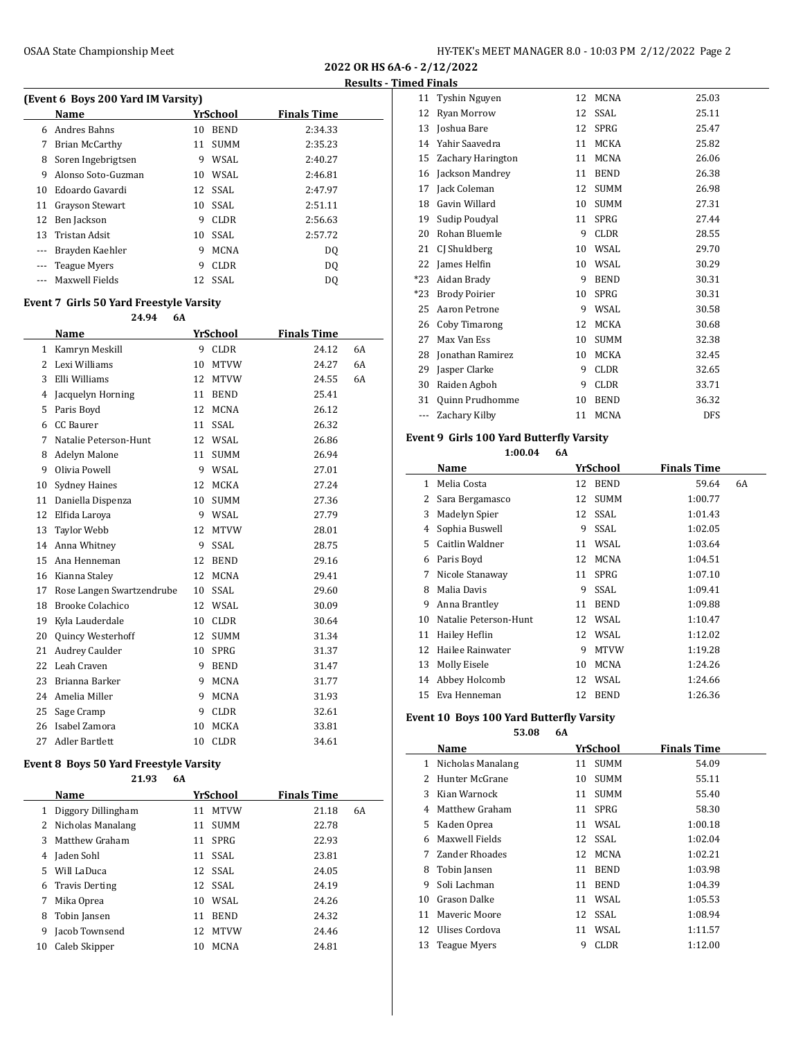| (Event 6 Boys 200 Yard IM Varsity) |                    |    |             |                    |  |  |  |  |  |  |
|------------------------------------|--------------------|----|-------------|--------------------|--|--|--|--|--|--|
|                                    | Name               |    | YrSchool    | <b>Finals Time</b> |  |  |  |  |  |  |
| 6                                  | Andres Bahns       | 10 | <b>BEND</b> | 2:34.33            |  |  |  |  |  |  |
| 7                                  | Brian McCarthy     | 11 | <b>SUMM</b> | 2:35.23            |  |  |  |  |  |  |
| 8                                  | Soren Ingebrigtsen | 9  | WSAL        | 2:40.27            |  |  |  |  |  |  |
| 9                                  | Alonso Soto-Guzman | 10 | WSAL        | 2:46.81            |  |  |  |  |  |  |
| 10                                 | Edoardo Gavardi    |    | 12 SSAL     | 2:47.97            |  |  |  |  |  |  |
| 11                                 | Grayson Stewart    | 10 | SSAL.       | 2:51.11            |  |  |  |  |  |  |
| 12                                 | Ben Jackson        | 9  | CLDR.       | 2:56.63            |  |  |  |  |  |  |
| 13                                 | Tristan Adsit      | 10 | SSAL.       | 2:57.72            |  |  |  |  |  |  |
| ---                                | Brayden Kaehler    | 9  | <b>MCNA</b> | D <sub>0</sub>     |  |  |  |  |  |  |
| ---                                | Teague Myers       | 9  | CLDR.       | D <sub>0</sub>     |  |  |  |  |  |  |
|                                    | Maxwell Fields     | 12 | SSAL        | DO.                |  |  |  |  |  |  |
|                                    |                    |    |             |                    |  |  |  |  |  |  |

# **Event 7 Girls 50 Yard Freestyle Varsity**

|    | 24.94                     | 6A |    |             |                    |    |
|----|---------------------------|----|----|-------------|--------------------|----|
|    | Name                      |    |    | YrSchool    | <b>Finals Time</b> |    |
| 1  | Kamryn Meskill            |    | 9  | <b>CLDR</b> | 24.12              | 6A |
| 2  | Lexi Williams             |    | 10 | <b>MTVW</b> | 24.27              | 6A |
| 3  | Elli Williams             |    | 12 | <b>MTVW</b> | 24.55              | 6A |
| 4  | Jacquelyn Horning         |    | 11 | <b>BEND</b> | 25.41              |    |
| 5  | Paris Boyd                |    | 12 | <b>MCNA</b> | 26.12              |    |
| 6  | CC Baurer                 |    | 11 | <b>SSAL</b> | 26.32              |    |
| 7  | Natalie Peterson-Hunt     |    | 12 | <b>WSAL</b> | 26.86              |    |
| 8  | <b>Adelyn Malone</b>      |    | 11 | <b>SUMM</b> | 26.94              |    |
| 9  | Olivia Powell             |    | 9  | WSAL        | 27.01              |    |
| 10 | <b>Sydney Haines</b>      |    | 12 | <b>MCKA</b> | 27.24              |    |
| 11 | Daniella Dispenza         |    | 10 | <b>SUMM</b> | 27.36              |    |
| 12 | Elfida Laroya             |    | 9  | <b>WSAL</b> | 27.79              |    |
| 13 | <b>Taylor Webb</b>        |    | 12 | <b>MTVW</b> | 28.01              |    |
| 14 | Anna Whitney              |    | 9  | SSAL        | 28.75              |    |
| 15 | Ana Henneman              |    | 12 | <b>BEND</b> | 29.16              |    |
| 16 | Kianna Staley             |    | 12 | <b>MCNA</b> | 29.41              |    |
| 17 | Rose Langen Swartzendrube |    | 10 | <b>SSAL</b> | 29.60              |    |
| 18 | <b>Brooke Colachico</b>   |    | 12 | WSAL        | 30.09              |    |
| 19 | Kyla Lauderdale           |    | 10 | <b>CLDR</b> | 30.64              |    |
| 20 | Quincy Westerhoff         |    | 12 | <b>SUMM</b> | 31.34              |    |
| 21 | Audrey Caulder            |    | 10 | <b>SPRG</b> | 31.37              |    |
| 22 | Leah Craven               |    | 9  | <b>BEND</b> | 31.47              |    |
| 23 | Brianna Barker            |    | 9  | <b>MCNA</b> | 31.77              |    |
| 24 | Amelia Miller             |    | 9  | <b>MCNA</b> | 31.93              |    |
| 25 | Sage Cramp                |    | 9  | <b>CLDR</b> | 32.61              |    |
| 26 | Isabel Zamora             |    | 10 | <b>MCKA</b> | 33.81              |    |
| 27 | <b>Adler Bartlett</b>     |    | 10 | <b>CLDR</b> | 34.61              |    |

## **Event 8 Boys 50 Yard Freestyle Varsity**

|    | 21.93                 | 6A |             |                    |    |
|----|-----------------------|----|-------------|--------------------|----|
|    | Name                  |    | YrSchool    | <b>Finals Time</b> |    |
| 1  | Diggory Dillingham    | 11 | <b>MTVW</b> | 21.18              | 6A |
| 2  | Nicholas Manalang     | 11 | <b>SUMM</b> | 22.78              |    |
| 3  | Matthew Graham        | 11 | SPRG        | 22.93              |    |
| 4  | Jaden Sohl            | 11 | SSAL        | 23.81              |    |
| 5  | Will LaDuca           |    | 12 SSAL     | 24.05              |    |
| 6  | <b>Travis Derting</b> |    | 12 SSAL     | 24.19              |    |
| 7  | Mika Oprea            | 10 | WSAL        | 24.26              |    |
| 8  | Tobin Jansen          | 11 | <b>BEND</b> | 24.32              |    |
| 9  | Jacob Townsend        | 12 | <b>MTVW</b> | 24.46              |    |
| 10 | Caleb Skipper         | 10 | <b>MCNA</b> | 24.81              |    |

| іси гіпаіз |                      |    |             |            |  |
|------------|----------------------|----|-------------|------------|--|
| 11         | Tyshin Nguyen        | 12 | MCNA        | 25.03      |  |
| 12         | Ryan Morrow          | 12 | SSAL        | 25.11      |  |
| 13         | Joshua Bare          | 12 | <b>SPRG</b> | 25.47      |  |
| 14         | Yahir Saavedra       | 11 | MCKA        | 25.82      |  |
| 15         | Zachary Harington    | 11 | <b>MCNA</b> | 26.06      |  |
| 16         | Jackson Mandrey      | 11 | <b>BEND</b> | 26.38      |  |
| 17         | Jack Coleman         | 12 | <b>SUMM</b> | 26.98      |  |
| 18         | Gavin Willard        | 10 | <b>SUMM</b> | 27.31      |  |
| 19         | Sudip Poudyal        | 11 | SPRG        | 27.44      |  |
| 20         | Rohan Bluemle        | 9  | <b>CLDR</b> | 28.55      |  |
| 21         | CJ Shuldberg         | 10 | WSAL        | 29.70      |  |
| 22         | James Helfin         | 10 | WSAL        | 30.29      |  |
| $*23$      | Aidan Brady          | 9  | <b>BEND</b> | 30.31      |  |
| *23        | <b>Brody Poirier</b> | 10 | <b>SPRG</b> | 30.31      |  |
| 25         | Aaron Petrone        | 9  | WSAL        | 30.58      |  |
| 26         | Coby Timarong        | 12 | <b>MCKA</b> | 30.68      |  |
| 27         | Max Van Ess          | 10 | <b>SUMM</b> | 32.38      |  |
| 28         | Jonathan Ramirez     | 10 | MCKA        | 32.45      |  |
| 29         | Jasper Clarke        | 9  | <b>CLDR</b> | 32.65      |  |
| 30         | Raiden Agboh         | 9  | <b>CLDR</b> | 33.71      |  |
| 31         | Quinn Prudhomme      | 10 | <b>BEND</b> | 36.32      |  |
| ---        | Zachary Kilby        | 11 | <b>MCNA</b> | <b>DFS</b> |  |
|            |                      |    |             |            |  |

#### **Event 9 Girls 100 Yard Butterfly Varsity 1:00.04 6A**

|  |  |  | 1:00.04 |  |
|--|--|--|---------|--|
|  |  |  |         |  |

|    | Name                  |    | <b>YrSchool</b> | <b>Finals Time</b> |    |
|----|-----------------------|----|-----------------|--------------------|----|
| 1  | Melia Costa           | 12 | <b>BEND</b>     | 59.64              | 6A |
| 2  | Sara Bergamasco       | 12 | <b>SUMM</b>     | 1:00.77            |    |
| 3  | Madelyn Spier         |    | 12 SSAL         | 1:01.43            |    |
| 4  | Sophia Buswell        | 9  | SSAL            | 1:02.05            |    |
| 5  | Caitlin Waldner       | 11 | WSAL            | 1:03.64            |    |
| 6  | Paris Boyd            | 12 | <b>MCNA</b>     | 1:04.51            |    |
| 7  | Nicole Stanaway       | 11 | <b>SPRG</b>     | 1:07.10            |    |
| 8  | Malia Davis           | 9  | SSAL            | 1:09.41            |    |
| 9  | Anna Brantley         | 11 | <b>BEND</b>     | 1:09.88            |    |
| 10 | Natalie Peterson-Hunt | 12 | WSAL            | 1:10.47            |    |
| 11 | Hailey Heflin         | 12 | WSAL            | 1:12.02            |    |
| 12 | Hailee Rainwater      | 9  | <b>MTVW</b>     | 1:19.28            |    |
| 13 | Molly Eisele          | 10 | <b>MCNA</b>     | 1:24.26            |    |
| 14 | Abbey Holcomb         | 12 | WSAL            | 1:24.66            |    |
| 15 | Eva Henneman          | 12 | <b>BEND</b>     | 1:26.36            |    |

## **Event 10 Boys 100 Yard Butterfly Varsity**

| 53.08 | 6A |
|-------|----|
|       |    |

|     | YrSchool<br>Name  |    |             | <b>Finals Time</b> |
|-----|-------------------|----|-------------|--------------------|
| 1   | Nicholas Manalang | 11 | <b>SUMM</b> | 54.09              |
| 2   | Hunter McGrane    | 10 | <b>SUMM</b> | 55.11              |
| 3   | Kian Warnock      | 11 | <b>SUMM</b> | 55.40              |
| 4   | Matthew Graham    | 11 | SPRG        | 58.30              |
| 5.  | Kaden Oprea       |    | 11 WSAL     | 1:00.18            |
| 6   | Maxwell Fields    |    | 12 SSAL     | 1:02.04            |
| 7   | Zander Rhoades    | 12 | MCNA        | 1:02.21            |
| 8   | Tobin Jansen      | 11 | <b>BEND</b> | 1:03.98            |
| 9   | Soli Lachman      | 11 | <b>BEND</b> | 1:04.39            |
| 10  | Grason Dalke      | 11 | WSAL        | 1:05.53            |
| 11  | Maveric Moore     | 12 | SSAL        | 1:08.94            |
| 12. | Ulises Cordova    | 11 | WSAL        | 1:11.57            |
| 13  | Teague Myers      | 9  | CLDR        | 1:12.00            |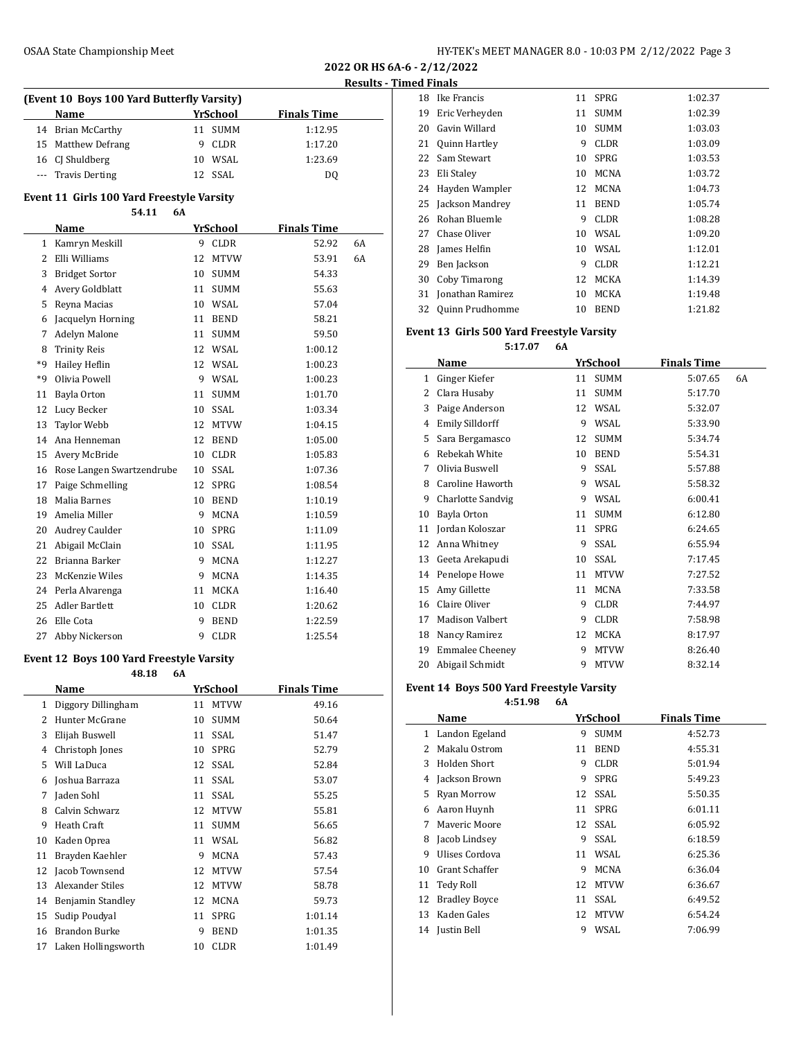| YrSchool<br><b>Finals Time</b><br><b>Name</b> |                    |    |         |         |
|-----------------------------------------------|--------------------|----|---------|---------|
|                                               |                    |    |         |         |
|                                               | 14 Brian McCarthy  | 11 | SUMM    | 1:12.95 |
|                                               | 15 Matthew Defrang | 9  | CLDR    | 1:17.20 |
|                                               | 16 CJ Shuldberg    | 10 | WSAL    | 1:23.69 |
|                                               | --- Travis Derting |    | 12 SSAL | DO.     |

#### **Event 11 Girls 100 Yard Freestyle Varsity 54.11 6A**

|                | J4.LL<br>UА               |    |             |                    |    |
|----------------|---------------------------|----|-------------|--------------------|----|
|                | Name                      |    | YrSchool    | <b>Finals Time</b> |    |
| $\mathbf{1}$   | Kamryn Meskill            | 9  | <b>CLDR</b> | 52.92              | 6A |
| $\overline{c}$ | Elli Williams             | 12 | <b>MTVW</b> | 53.91              | 6A |
| 3              | <b>Bridget Sortor</b>     | 10 | <b>SUMM</b> | 54.33              |    |
| 4              | Avery Goldblatt           | 11 | <b>SUMM</b> | 55.63              |    |
| 5              | Reyna Macias              | 10 | WSAL        | 57.04              |    |
| 6              | Jacquelyn Horning         | 11 | <b>BEND</b> | 58.21              |    |
| 7              | Adelyn Malone             | 11 | <b>SUMM</b> | 59.50              |    |
| 8              | <b>Trinity Reis</b>       | 12 | WSAL        | 1:00.12            |    |
| *9             | Hailey Heflin             | 12 | <b>WSAL</b> | 1:00.23            |    |
| *q             | Olivia Powell             | 9  | WSAL        | 1:00.23            |    |
| 11             | Bayla Orton               | 11 | <b>SUMM</b> | 1:01.70            |    |
| 12             | Lucy Becker               | 10 | <b>SSAL</b> | 1:03.34            |    |
| 13             | <b>Taylor Webb</b>        | 12 | <b>MTVW</b> | 1:04.15            |    |
| 14             | Ana Henneman              | 12 | <b>BEND</b> | 1:05.00            |    |
| 15             | Avery McBride             | 10 | <b>CLDR</b> | 1:05.83            |    |
| 16             | Rose Langen Swartzendrube | 10 | <b>SSAL</b> | 1:07.36            |    |
| 17             | Paige Schmelling          | 12 | <b>SPRG</b> | 1:08.54            |    |
| 18             | Malia Barnes              | 10 | <b>BEND</b> | 1:10.19            |    |
| 19             | Amelia Miller             | 9  | <b>MCNA</b> | 1:10.59            |    |
| 20             | Audrey Caulder            | 10 | <b>SPRG</b> | 1:11.09            |    |
| 21             | Abigail McClain           | 10 | SSAL        | 1:11.95            |    |
| 22             | Brianna Barker            | 9  | <b>MCNA</b> | 1:12.27            |    |
| 23             | McKenzie Wiles            | 9  | <b>MCNA</b> | 1:14.35            |    |
| 24             | Perla Alvarenga           | 11 | <b>MCKA</b> | 1:16.40            |    |
| 25             | <b>Adler Bartlett</b>     | 10 | <b>CLDR</b> | 1:20.62            |    |
| 26             | Elle Cota                 | 9  | <b>BEND</b> | 1:22.59            |    |
| 27             | Abby Nickerson            | 9  | <b>CLDR</b> | 1:25.54            |    |

### **Event 12 Boys 100 Yard Freestyle Varsity**

| 48.18 | 6A |
|-------|----|

|    | Name                 |    | YrSchool    | <b>Finals Time</b> |
|----|----------------------|----|-------------|--------------------|
| 1  | Diggory Dillingham   | 11 | <b>MTVW</b> | 49.16              |
| 2  | Hunter McGrane       | 10 | <b>SUMM</b> | 50.64              |
| 3  | Elijah Buswell       | 11 | <b>SSAL</b> | 51.47              |
| 4  | Christoph Jones      | 10 | <b>SPRG</b> | 52.79              |
| 5  | Will LaDuca          | 12 | <b>SSAL</b> | 52.84              |
| 6  | Joshua Barraza       | 11 | SSAL        | 53.07              |
| 7  | Jaden Sohl           | 11 | SSAL        | 55.25              |
| 8  | Calvin Schwarz       | 12 | <b>MTVW</b> | 55.81              |
| 9  | Heath Craft          | 11 | <b>SUMM</b> | 56.65              |
| 10 | Kaden Oprea          | 11 | WSAL        | 56.82              |
| 11 | Brayden Kaehler      | 9  | <b>MCNA</b> | 57.43              |
| 12 | Jacob Townsend       | 12 | <b>MTVW</b> | 57.54              |
| 13 | Alexander Stiles     | 12 | <b>MTVW</b> | 58.78              |
| 14 | Benjamin Standley    | 12 | <b>MCNA</b> | 59.73              |
| 15 | Sudip Poudyal        | 11 | <b>SPRG</b> | 1:01.14            |
| 16 | <b>Brandon Burke</b> | 9  | <b>BEND</b> | 1:01.35            |
| 17 | Laken Hollingsworth  | 10 | <b>CLDR</b> | 1:01.49            |
|    |                      |    |             |                    |

| 18 | Ike Francis            | 11 | SPRG        | 1:02.37 |
|----|------------------------|----|-------------|---------|
| 19 | Eric Verheyden         | 11 | <b>SUMM</b> | 1:02.39 |
| 20 | Gavin Willard          | 10 | <b>SUMM</b> | 1:03.03 |
| 21 | <b>Quinn Hartley</b>   | 9  | <b>CLDR</b> | 1:03.09 |
| 22 | Sam Stewart            | 10 | SPRG        | 1:03.53 |
| 23 | Eli Stalev             | 10 | <b>MCNA</b> | 1:03.72 |
| 24 | Hayden Wampler         | 12 | <b>MCNA</b> | 1:04.73 |
| 25 | Jackson Mandrey        | 11 | <b>BEND</b> | 1:05.74 |
| 26 | Rohan Bluemle          | 9  | CLDR        | 1:08.28 |
| 27 | Chase Oliver           | 10 | WSAL        | 1:09.20 |
| 28 | James Helfin           | 10 | WSAL        | 1:12.01 |
| 29 | Ben Jackson            | 9  | <b>CLDR</b> | 1:12.21 |
| 30 | Coby Timarong          | 12 | <b>MCKA</b> | 1:14.39 |
| 31 | Jonathan Ramirez       | 10 | <b>MCKA</b> | 1:19.48 |
| 32 | <b>Quinn Prudhomme</b> | 10 | <b>BEND</b> | 1:21.82 |

### **Event 13 Girls 500 Yard Freestyle Varsity**

**5:17.07 6A**

|    | Name                   |    | YrSchool    | <b>Finals Time</b> |    |
|----|------------------------|----|-------------|--------------------|----|
| 1  | Ginger Kiefer          | 11 | <b>SUMM</b> | 5:07.65            | 6A |
| 2  | Clara Husaby           | 11 | <b>SUMM</b> | 5:17.70            |    |
| 3  | Paige Anderson         | 12 | WSAL        | 5:32.07            |    |
| 4  | <b>Emily Silldorff</b> | 9  | WSAL        | 5:33.90            |    |
| 5  | Sara Bergamasco        | 12 | <b>SUMM</b> | 5:34.74            |    |
| 6  | Rebekah White          | 10 | <b>BEND</b> | 5:54.31            |    |
| 7  | Olivia Buswell         | 9  | SSAL        | 5:57.88            |    |
| 8  | Caroline Haworth       | 9  | WSAL        | 5:58.32            |    |
| 9  | Charlotte Sandvig      | 9  | WSAL        | 6:00.41            |    |
| 10 | Bayla Orton            | 11 | <b>SUMM</b> | 6:12.80            |    |
| 11 | Jordan Koloszar        | 11 | <b>SPRG</b> | 6:24.65            |    |
| 12 | Anna Whitney           | 9  | SSAL        | 6:55.94            |    |
| 13 | Geeta Arekapudi        | 10 | SSAL        | 7:17.45            |    |
| 14 | Penelope Howe          | 11 | <b>MTVW</b> | 7:27.52            |    |
| 15 | Amy Gillette           | 11 | <b>MCNA</b> | 7:33.58            |    |
| 16 | Claire Oliver          | 9  | CLDR        | 7:44.97            |    |
| 17 | <b>Madison Valbert</b> | 9  | CLDR        | 7:58.98            |    |
| 18 | Nancy Ramirez          | 12 | MCKA        | 8:17.97            |    |
| 19 | <b>Emmalee Cheeney</b> | 9  | <b>MTVW</b> | 8:26.40            |    |
| 20 | Abigail Schmidt        | 9  | <b>MTVW</b> | 8:32.14            |    |

## **Event 14 Boys 500 Yard Freestyle Varsity**

**4:51.98 6A**

|              | Name                 |    | <b>YrSchool</b> | <b>Finals Time</b> |
|--------------|----------------------|----|-----------------|--------------------|
| $\mathbf{1}$ | Landon Egeland       | 9  | <b>SUMM</b>     | 4:52.73            |
| 2            | Makalu Ostrom        | 11 | <b>BEND</b>     | 4:55.31            |
| 3            | Holden Short         | 9  | CLDR            | 5:01.94            |
| 4            | Jackson Brown        | 9  | <b>SPRG</b>     | 5:49.23            |
| 5            | Ryan Morrow          |    | 12 SSAL         | 5:50.35            |
| 6            | Aaron Huynh          |    | 11 SPRG         | 6:01.11            |
| 7            | Mayeric Moore        |    | 12 SSAL         | 6:05.92            |
| 8            | Jacob Lindsey        | 9  | SSAL            | 6:18.59            |
| 9            | Ulises Cordova       | 11 | WSAL            | 6:25.36            |
| 10           | Grant Schaffer       | 9  | <b>MCNA</b>     | 6:36.04            |
| 11           | Tedy Roll            | 12 | <b>MTVW</b>     | 6:36.67            |
| 12           | <b>Bradley Boyce</b> |    | 11 SSAL         | 6:49.52            |
| 13           | Kaden Gales          | 12 | <b>MTVW</b>     | 6:54.24            |
| 14           | Justin Bell          | 9  | WSAL            | 7:06.99            |
|              |                      |    |                 |                    |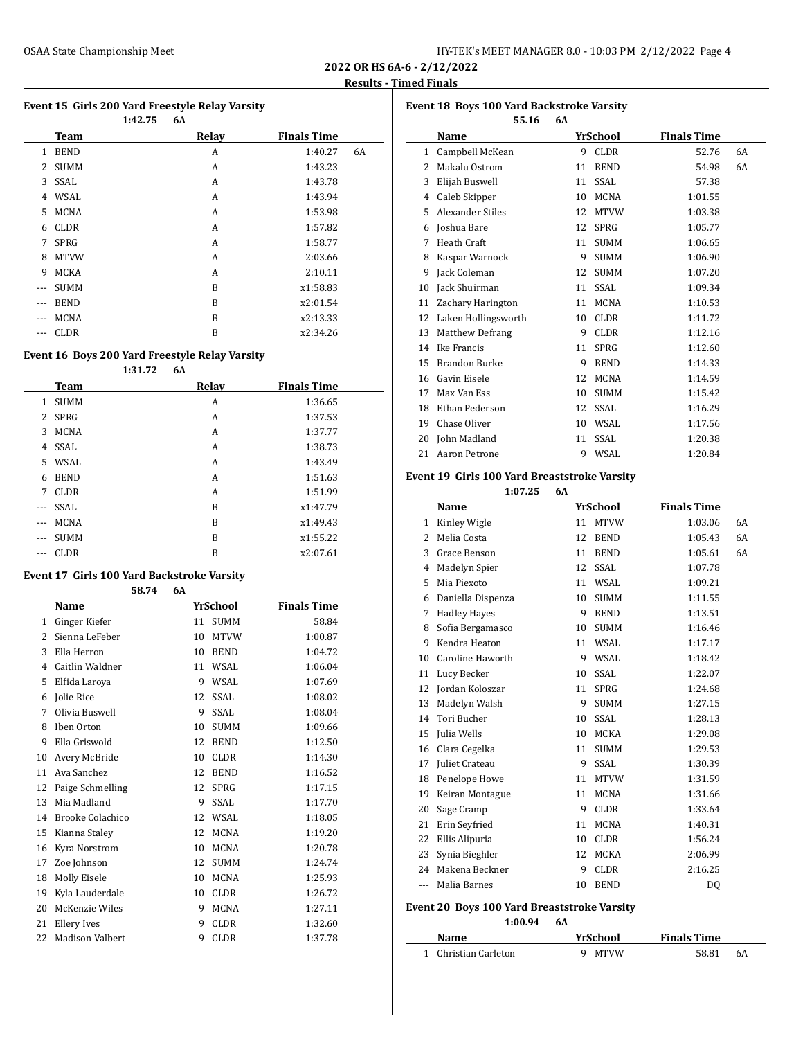$\overline{a}$ 

 $\overline{\phantom{a}}$ 

### **Event 15 Girls 200 Yard Freestyle Relay Varsity**

|     |             | 1:42.75 | 6A    |                    |    |
|-----|-------------|---------|-------|--------------------|----|
|     | <b>Team</b> |         | Relay | <b>Finals Time</b> |    |
| 1   | <b>BEND</b> |         | A     | 1:40.27            | 6A |
| 2   | <b>SUMM</b> |         | A     | 1:43.23            |    |
| 3   | SSAL        |         | A     | 1:43.78            |    |
| 4   | WSAL        |         | A     | 1:43.94            |    |
| 5   | <b>MCNA</b> |         | A     | 1:53.98            |    |
| 6   | <b>CLDR</b> |         | A     | 1:57.82            |    |
| 7   | <b>SPRG</b> |         | A     | 1:58.77            |    |
| 8   | <b>MTVW</b> |         | A     | 2:03.66            |    |
| 9   | <b>MCKA</b> |         | A     | 2:10.11            |    |
| --- | <b>SUMM</b> |         | B     | x1:58.83           |    |
| --- | <b>BEND</b> |         | B     | x2:01.54           |    |
| --- | <b>MCNA</b> |         | B     | x2:13.33           |    |
| --- | <b>CLDR</b> |         | B     | x2:34.26           |    |

### **Event 16 Boys 200 Yard Freestyle Relay Varsity**

|       | Team        | Relay | <b>Finals Time</b> |
|-------|-------------|-------|--------------------|
| 1     | <b>SUMM</b> | A     | 1:36.65            |
|       | 2 SPRG      | A     | 1:37.53            |
| 3     | <b>MCNA</b> | A     | 1:37.77            |
| 4     | SSAL        | A     | 1:38.73            |
|       | 5 WSAL      | A     | 1:43.49            |
| 6     | <b>BEND</b> | A     | 1:51.63            |
| 7     | <b>CLDR</b> | A     | 1:51.99            |
| $---$ | <b>SSAL</b> | B     | x1:47.79           |
| $---$ | <b>MCNA</b> | B     | x1:49.43           |
| $---$ | <b>SUMM</b> | B     | x1:55.22           |
|       | <b>CLDR</b> | B     | x2:07.61           |
|       |             |       |                    |

### **Event 17 Girls 100 Yard Backstroke Varsity**

**58.74 6A**

|    | Name                    |    | YrSchool    | <b>Finals Time</b> |
|----|-------------------------|----|-------------|--------------------|
| 1  | Ginger Kiefer           | 11 | <b>SUMM</b> | 58.84              |
| 2  | Sienna LeFeber          | 10 | <b>MTVW</b> | 1:00.87            |
| 3  | Ella Herron             | 10 | <b>BEND</b> | 1:04.72            |
| 4  | Caitlin Waldner         | 11 | WSAL        | 1:06.04            |
| 5  | Elfida Laroya           | 9  | <b>WSAL</b> | 1:07.69            |
| 6  | Jolie Rice              | 12 | <b>SSAL</b> | 1:08.02            |
| 7  | Olivia Buswell          | 9  | <b>SSAL</b> | 1:08.04            |
| 8  | Iben Orton              | 10 | <b>SUMM</b> | 1:09.66            |
| 9  | Ella Griswold           | 12 | <b>BEND</b> | 1:12.50            |
| 10 | Avery McBride           | 10 | <b>CLDR</b> | 1:14.30            |
| 11 | Ava Sanchez             | 12 | <b>BEND</b> | 1:16.52            |
| 12 | Paige Schmelling        | 12 | <b>SPRG</b> | 1:17.15            |
| 13 | Mia Madland             | 9  | <b>SSAL</b> | 1:17.70            |
| 14 | <b>Brooke Colachico</b> | 12 | <b>WSAL</b> | 1:18.05            |
| 15 | Kianna Staley           | 12 | <b>MCNA</b> | 1:19.20            |
| 16 | Kyra Norstrom           | 10 | <b>MCNA</b> | 1:20.78            |
| 17 | Zoe Johnson             | 12 | <b>SUMM</b> | 1:24.74            |
| 18 | Molly Eisele            | 10 | <b>MCNA</b> | 1:25.93            |
| 19 | Kyla Lauderdale         | 10 | <b>CLDR</b> | 1:26.72            |
| 20 | McKenzie Wiles          | 9  | <b>MCNA</b> | 1:27.11            |
| 21 | Ellery Ives             | 9  | <b>CLDR</b> | 1:32.60            |
| 22 | <b>Madison Valbert</b>  | 9  | <b>CLDR</b> | 1:37.78            |

| <b>Event 18 Boys 100 Yard Backstroke Varsity</b> |                        |    |             |                    |    |  |  |
|--------------------------------------------------|------------------------|----|-------------|--------------------|----|--|--|
| 55.16<br>6A                                      |                        |    |             |                    |    |  |  |
|                                                  | Name                   |    | YrSchool    | <b>Finals Time</b> |    |  |  |
| 1                                                | Campbell McKean        | 9  | <b>CLDR</b> | 52.76              | 6A |  |  |
| 2                                                | Makalu Ostrom          | 11 | <b>BEND</b> | 54.98              | 6A |  |  |
| 3                                                | Elijah Buswell         | 11 | SSAL        | 57.38              |    |  |  |
| 4                                                | Caleb Skipper          | 10 | <b>MCNA</b> | 1:01.55            |    |  |  |
| 5                                                | Alexander Stiles       | 12 | <b>MTVW</b> | 1:03.38            |    |  |  |
| 6                                                | Joshua Bare            | 12 | <b>SPRG</b> | 1:05.77            |    |  |  |
| 7                                                | Heath Craft            | 11 | <b>SUMM</b> | 1:06.65            |    |  |  |
| 8                                                | Kaspar Warnock         | 9  | <b>SUMM</b> | 1:06.90            |    |  |  |
| 9                                                | Jack Coleman           | 12 | <b>SUMM</b> | 1:07.20            |    |  |  |
| 10                                               | Jack Shuirman          | 11 | <b>SSAL</b> | 1:09.34            |    |  |  |
| 11                                               | Zachary Harington      | 11 | <b>MCNA</b> | 1:10.53            |    |  |  |
| 12                                               | Laken Hollingsworth    | 10 | <b>CLDR</b> | 1:11.72            |    |  |  |
| 13                                               | <b>Matthew Defrang</b> | 9  | <b>CLDR</b> | 1:12.16            |    |  |  |
| 14                                               | Ike Francis            | 11 | <b>SPRG</b> | 1:12.60            |    |  |  |
| 15                                               | Brandon Burke          | 9  | <b>BEND</b> | 1:14.33            |    |  |  |
| 16                                               | Gavin Eisele           | 12 | <b>MCNA</b> | 1:14.59            |    |  |  |
| 17                                               | Max Van Ess            | 10 | <b>SUMM</b> | 1:15.42            |    |  |  |
| 18                                               | Ethan Pederson         | 12 | <b>SSAL</b> | 1:16.29            |    |  |  |
| 19                                               | Chase Oliver           | 10 | WSAL        | 1:17.56            |    |  |  |
| 20                                               | John Madland           | 11 | SSAL        | 1:20.38            |    |  |  |
| 21                                               | Aaron Petrone          | 9  | WSAL        | 1:20.84            |    |  |  |

# **Event 19 Girls 100 Yard Breaststroke Varsity**

**1:07.25 6A**

|     | Name                | YrSchool |             | <b>Finals Time</b> |    |
|-----|---------------------|----------|-------------|--------------------|----|
| 1   | Kinley Wigle        | 11       | <b>MTVW</b> | 1:03.06            | 6A |
| 2   | Melia Costa         | 12       | <b>BEND</b> | 1:05.43            | 6A |
| 3   | Grace Benson        | 11       | <b>BEND</b> | 1:05.61            | 6A |
| 4   | Madelyn Spier       | 12       | <b>SSAL</b> | 1:07.78            |    |
| 5   | Mia Piexoto         | 11       | WSAL        | 1:09.21            |    |
| 6   | Daniella Dispenza   | 10       | <b>SUMM</b> | 1:11.55            |    |
| 7   | <b>Hadley Hayes</b> | 9        | <b>BEND</b> | 1:13.51            |    |
| 8   | Sofia Bergamasco    | 10       | <b>SUMM</b> | 1:16.46            |    |
| 9   | Kendra Heaton       | 11       | <b>WSAL</b> | 1:17.17            |    |
| 10  | Caroline Haworth    | 9        | WSAL        | 1:18.42            |    |
| 11  | Lucy Becker         | 10       | <b>SSAL</b> | 1:22.07            |    |
| 12  | Jordan Koloszar     | 11       | <b>SPRG</b> | 1:24.68            |    |
| 13  | Madelyn Walsh       | 9        | <b>SUMM</b> | 1:27.15            |    |
| 14  | <b>Tori Bucher</b>  | 10       | <b>SSAL</b> | 1:28.13            |    |
| 15  | Julia Wells         | 10       | <b>MCKA</b> | 1:29.08            |    |
| 16  | Clara Cegelka       | 11       | <b>SUMM</b> | 1:29.53            |    |
| 17  | Juliet Crateau      | 9        | <b>SSAL</b> | 1:30.39            |    |
| 18  | Penelope Howe       | 11       | <b>MTVW</b> | 1:31.59            |    |
| 19  | Keiran Montague     | 11       | <b>MCNA</b> | 1:31.66            |    |
| 20  | Sage Cramp          | 9        | <b>CLDR</b> | 1:33.64            |    |
| 21  | Erin Seyfried       | 11       | <b>MCNA</b> | 1:40.31            |    |
| 22  | Ellis Alipuria      | 10       | <b>CLDR</b> | 1:56.24            |    |
| 23  | Synia Bieghler      | 12       | MCKA        | 2:06.99            |    |
| 24  | Makena Beckner      | 9        | <b>CLDR</b> | 2:16.25            |    |
| --- | Malia Barnes        | 10       | <b>BEND</b> | DQ                 |    |
|     |                     |          |             |                    |    |

# **Event 20 Boys 100 Yard Breaststroke Varsity**

**1:00.94 6A**

| Name                 | YrSchool | <b>Finals Time</b> |
|----------------------|----------|--------------------|
| 1 Christian Carleton | 9 MTVW   | 58.81<br>6A        |